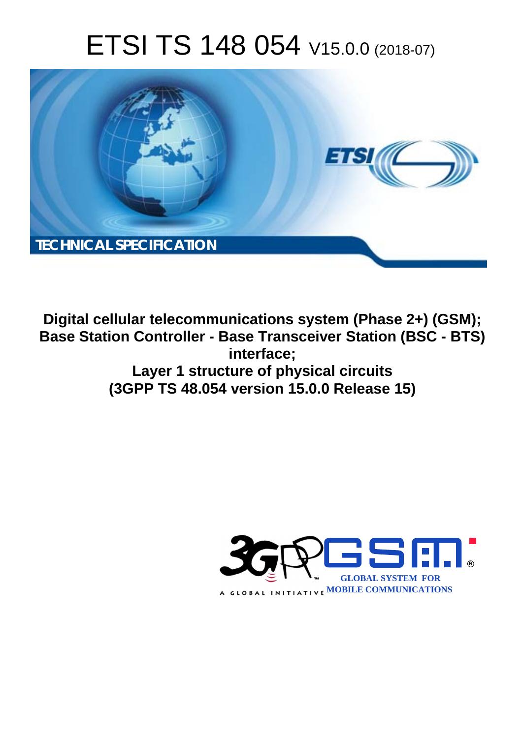# ETSI TS 148 054 V15.0.0 (2018-07)



**Digital cellular telecommunications system (Phase 2+) (GSM); Base Station Controller - Base Transceiver Station (BSC - BTS) interface; Layer 1 structure of physical circuits (3GPP TS 48.054 version 15.0.0 Release 15)** 

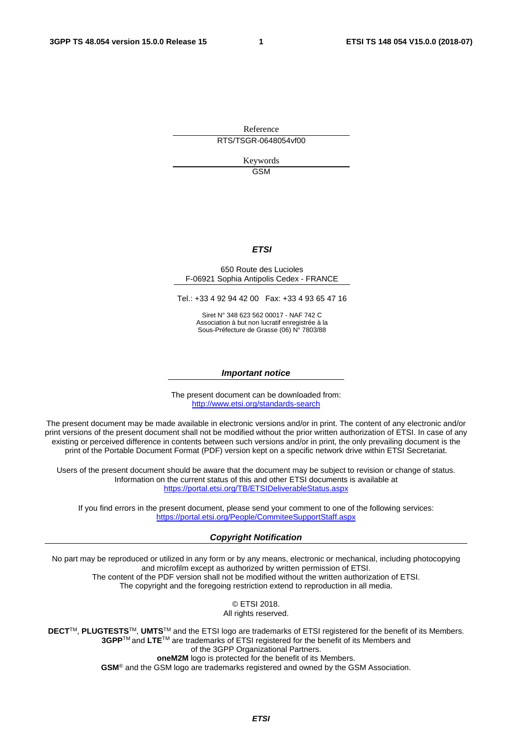Reference RTS/TSGR-0648054vf00

> Keywords GSM

#### *ETSI*

#### 650 Route des Lucioles F-06921 Sophia Antipolis Cedex - FRANCE

Tel.: +33 4 92 94 42 00 Fax: +33 4 93 65 47 16

Siret N° 348 623 562 00017 - NAF 742 C Association à but non lucratif enregistrée à la Sous-Préfecture de Grasse (06) N° 7803/88

#### *Important notice*

The present document can be downloaded from: <http://www.etsi.org/standards-search>

The present document may be made available in electronic versions and/or in print. The content of any electronic and/or print versions of the present document shall not be modified without the prior written authorization of ETSI. In case of any existing or perceived difference in contents between such versions and/or in print, the only prevailing document is the print of the Portable Document Format (PDF) version kept on a specific network drive within ETSI Secretariat.

Users of the present document should be aware that the document may be subject to revision or change of status. Information on the current status of this and other ETSI documents is available at <https://portal.etsi.org/TB/ETSIDeliverableStatus.aspx>

If you find errors in the present document, please send your comment to one of the following services: <https://portal.etsi.org/People/CommiteeSupportStaff.aspx>

#### *Copyright Notification*

No part may be reproduced or utilized in any form or by any means, electronic or mechanical, including photocopying and microfilm except as authorized by written permission of ETSI. The content of the PDF version shall not be modified without the written authorization of ETSI. The copyright and the foregoing restriction extend to reproduction in all media.

> © ETSI 2018. All rights reserved.

**DECT**TM, **PLUGTESTS**TM, **UMTS**TM and the ETSI logo are trademarks of ETSI registered for the benefit of its Members. **3GPP**TM and **LTE**TM are trademarks of ETSI registered for the benefit of its Members and of the 3GPP Organizational Partners. **oneM2M** logo is protected for the benefit of its Members.

**GSM**® and the GSM logo are trademarks registered and owned by the GSM Association.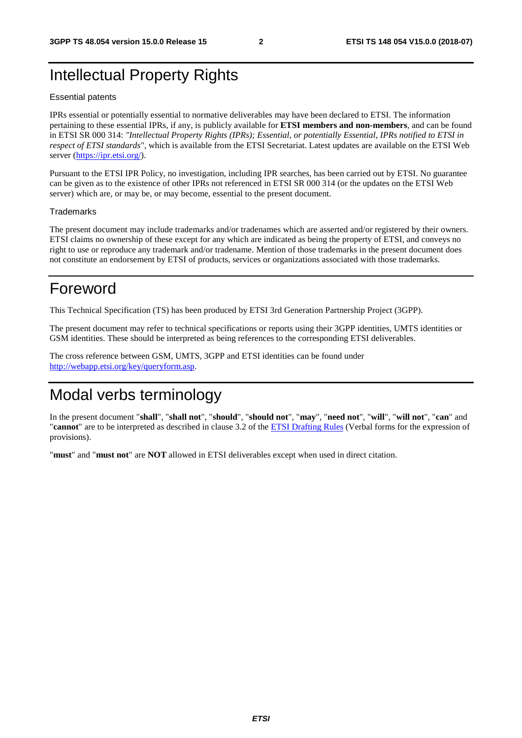### Intellectual Property Rights

#### Essential patents

IPRs essential or potentially essential to normative deliverables may have been declared to ETSI. The information pertaining to these essential IPRs, if any, is publicly available for **ETSI members and non-members**, and can be found in ETSI SR 000 314: *"Intellectual Property Rights (IPRs); Essential, or potentially Essential, IPRs notified to ETSI in respect of ETSI standards"*, which is available from the ETSI Secretariat. Latest updates are available on the ETSI Web server ([https://ipr.etsi.org/\)](https://ipr.etsi.org/).

Pursuant to the ETSI IPR Policy, no investigation, including IPR searches, has been carried out by ETSI. No guarantee can be given as to the existence of other IPRs not referenced in ETSI SR 000 314 (or the updates on the ETSI Web server) which are, or may be, or may become, essential to the present document.

#### **Trademarks**

The present document may include trademarks and/or tradenames which are asserted and/or registered by their owners. ETSI claims no ownership of these except for any which are indicated as being the property of ETSI, and conveys no right to use or reproduce any trademark and/or tradename. Mention of those trademarks in the present document does not constitute an endorsement by ETSI of products, services or organizations associated with those trademarks.

### Foreword

This Technical Specification (TS) has been produced by ETSI 3rd Generation Partnership Project (3GPP).

The present document may refer to technical specifications or reports using their 3GPP identities, UMTS identities or GSM identities. These should be interpreted as being references to the corresponding ETSI deliverables.

The cross reference between GSM, UMTS, 3GPP and ETSI identities can be found under [http://webapp.etsi.org/key/queryform.asp.](http://webapp.etsi.org/key/queryform.asp)

### Modal verbs terminology

In the present document "**shall**", "**shall not**", "**should**", "**should not**", "**may**", "**need not**", "**will**", "**will not**", "**can**" and "**cannot**" are to be interpreted as described in clause 3.2 of the [ETSI Drafting Rules](https://portal.etsi.org/Services/editHelp!/Howtostart/ETSIDraftingRules.aspx) (Verbal forms for the expression of provisions).

"**must**" and "**must not**" are **NOT** allowed in ETSI deliverables except when used in direct citation.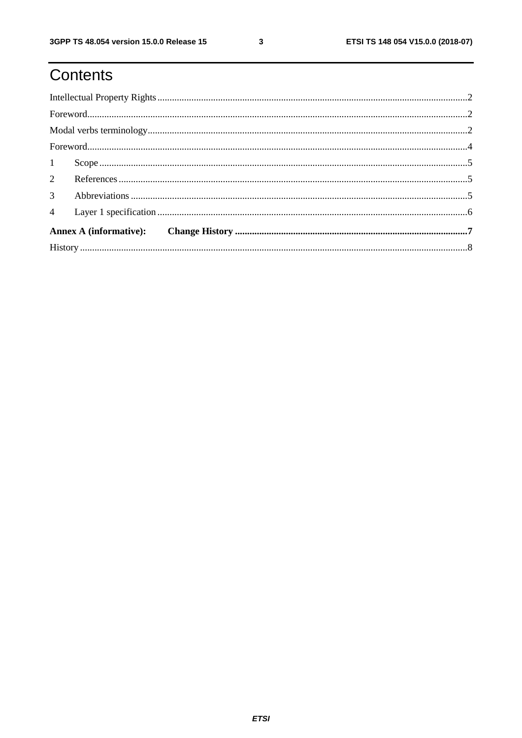## Contents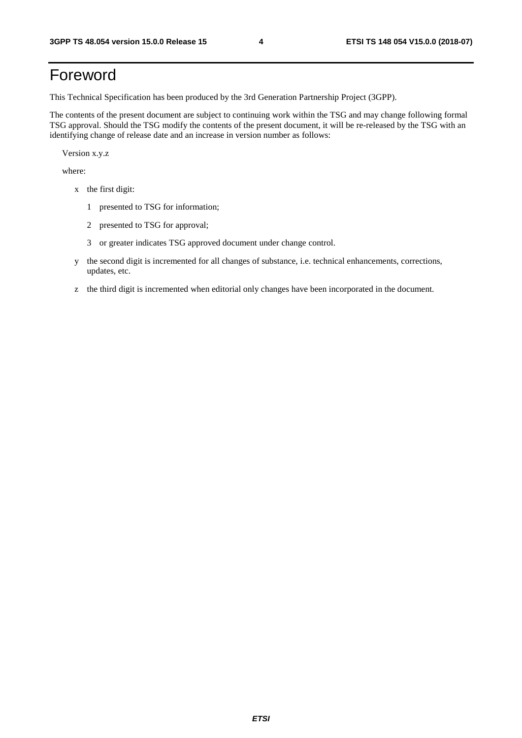### Foreword

This Technical Specification has been produced by the 3rd Generation Partnership Project (3GPP).

The contents of the present document are subject to continuing work within the TSG and may change following formal TSG approval. Should the TSG modify the contents of the present document, it will be re-released by the TSG with an identifying change of release date and an increase in version number as follows:

Version x.y.z

where:

- x the first digit:
	- 1 presented to TSG for information;
	- 2 presented to TSG for approval;
	- 3 or greater indicates TSG approved document under change control.
- y the second digit is incremented for all changes of substance, i.e. technical enhancements, corrections, updates, etc.
- z the third digit is incremented when editorial only changes have been incorporated in the document.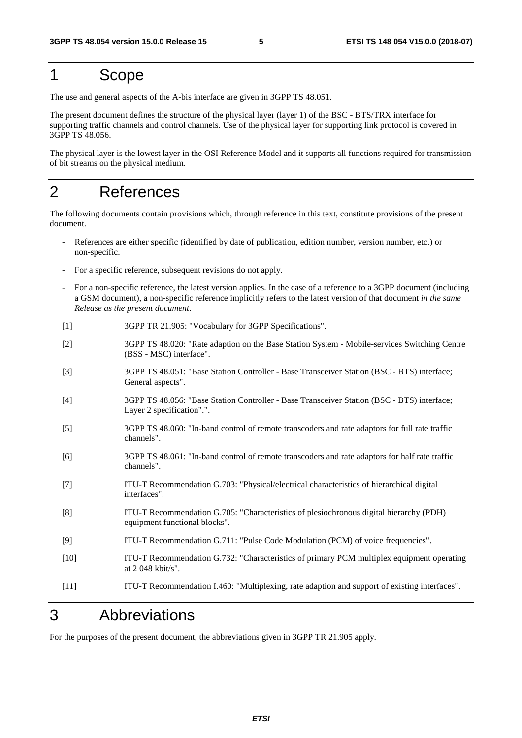#### 1 Scope

The use and general aspects of the A-bis interface are given in 3GPP TS 48.051.

The present document defines the structure of the physical layer (layer 1) of the BSC - BTS/TRX interface for supporting traffic channels and control channels. Use of the physical layer for supporting link protocol is covered in 3GPP TS 48.056.

The physical layer is the lowest layer in the OSI Reference Model and it supports all functions required for transmission of bit streams on the physical medium.

### 2 References

The following documents contain provisions which, through reference in this text, constitute provisions of the present document.

- References are either specific (identified by date of publication, edition number, version number, etc.) or non-specific.
- For a specific reference, subsequent revisions do not apply.
- For a non-specific reference, the latest version applies. In the case of a reference to a 3GPP document (including a GSM document), a non-specific reference implicitly refers to the latest version of that document *in the same Release as the present document*.
- [1] 3GPP TR 21.905: "Vocabulary for 3GPP Specifications".
- [2] 3GPP TS 48.020: "Rate adaption on the Base Station System Mobile-services Switching Centre (BSS - MSC) interface".
- [3] 3GPP TS 48.051: "Base Station Controller Base Transceiver Station (BSC BTS) interface; General aspects".
- [4] 3GPP TS 48.056: "Base Station Controller Base Transceiver Station (BSC BTS) interface; Layer 2 specification".".
- [5] 3GPP TS 48.060: "In-band control of remote transcoders and rate adaptors for full rate traffic channels".
- [6] 3GPP TS 48.061: "In-band control of remote transcoders and rate adaptors for half rate traffic channels".
- [7] ITU-T Recommendation G.703: "Physical/electrical characteristics of hierarchical digital interfaces".
- [8] ITU-T Recommendation G.705: "Characteristics of plesiochronous digital hierarchy (PDH) equipment functional blocks".
- [9] ITU-T Recommendation G.711: "Pulse Code Modulation (PCM) of voice frequencies".
- [10] ITU-T Recommendation G.732: "Characteristics of primary PCM multiplex equipment operating at 2 048 kbit/s".
- [11] ITU-T Recommendation I.460: "Multiplexing, rate adaption and support of existing interfaces".

### 3 Abbreviations

For the purposes of the present document, the abbreviations given in 3GPP TR 21.905 apply.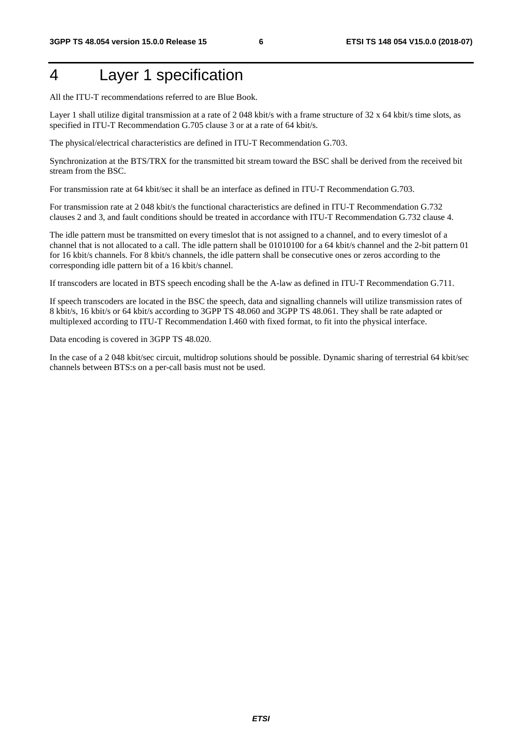### 4 Layer 1 specification

All the ITU-T recommendations referred to are Blue Book.

Layer 1 shall utilize digital transmission at a rate of 2 048 kbit/s with a frame structure of 32 x 64 kbit/s time slots, as specified in ITU-T Recommendation G.705 clause 3 or at a rate of 64 kbit/s.

The physical/electrical characteristics are defined in ITU-T Recommendation G.703.

Synchronization at the BTS/TRX for the transmitted bit stream toward the BSC shall be derived from the received bit stream from the BSC.

For transmission rate at 64 kbit/sec it shall be an interface as defined in ITU-T Recommendation G.703.

For transmission rate at 2 048 kbit/s the functional characteristics are defined in ITU-T Recommendation G.732 clauses 2 and 3, and fault conditions should be treated in accordance with ITU-T Recommendation G.732 clause 4.

The idle pattern must be transmitted on every timeslot that is not assigned to a channel, and to every timeslot of a channel that is not allocated to a call. The idle pattern shall be 01010100 for a 64 kbit/s channel and the 2-bit pattern 01 for 16 kbit/s channels. For 8 kbit/s channels, the idle pattern shall be consecutive ones or zeros according to the corresponding idle pattern bit of a 16 kbit/s channel.

If transcoders are located in BTS speech encoding shall be the A-law as defined in ITU-T Recommendation G.711.

If speech transcoders are located in the BSC the speech, data and signalling channels will utilize transmission rates of 8 kbit/s, 16 kbit/s or 64 kbit/s according to 3GPP TS 48.060 and 3GPP TS 48.061. They shall be rate adapted or multiplexed according to ITU-T Recommendation I.460 with fixed format, to fit into the physical interface.

Data encoding is covered in 3GPP TS 48.020.

In the case of a 2 048 kbit/sec circuit, multidrop solutions should be possible. Dynamic sharing of terrestrial 64 kbit/sec channels between BTS:s on a per-call basis must not be used.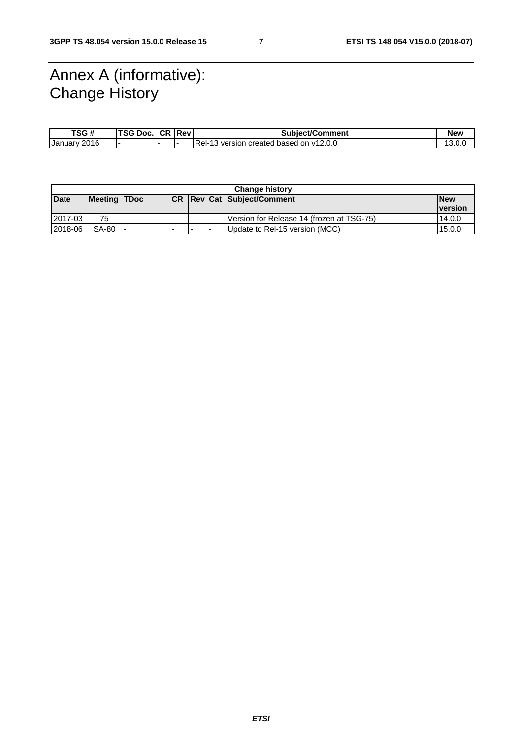### Annex A (informative): Change History

| TSG #           | TSG Doc. | <b>CR Rev</b> | <b>Subiect/Comment</b>                   | New           |
|-----------------|----------|---------------|------------------------------------------|---------------|
| 2016<br>January |          |               | Rel-<br>wersion created based on v12.0.0 | 10<br>, U.V ا |

| <b>Change history</b> |                     |  |      |     |  |                                           |                |
|-----------------------|---------------------|--|------|-----|--|-------------------------------------------|----------------|
| <b>Date</b>           | <b>Meeting TDoc</b> |  | ICR. |     |  | <b>Rev Cat Subject/Comment</b>            | <b>New</b>     |
|                       |                     |  |      |     |  |                                           | <u>version</u> |
| 2017-03               | 75                  |  |      |     |  | Version for Release 14 (frozen at TSG-75) | 14.0.0         |
| 2018-06               | SA-80               |  |      | . . |  | Update to Rel-15 version (MCC)            | 15.0.0         |